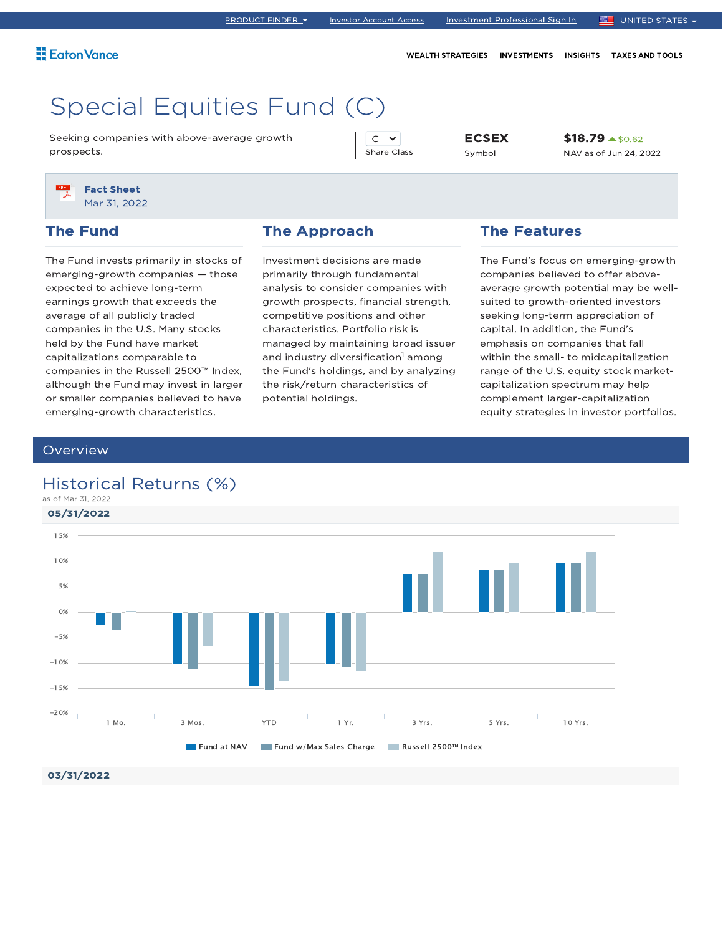WEALTH STRATEGIES INVESTMENTS INSIGHTS TAXES AND TOOLS

# Special Equities Fund (C)

Seeking companies with above-average growth prospects.

 $C \sim$ Share Class

ECSEX Symbol

\$18.79 \$0.62 NAV as of Jun 24, 2022

Fact Sheet Mar 31, 2022

### The Fund

The Fund invests primarily in stocks of emerging-growth companies — those expected to achieve long-term earnings growth that exceeds the average of all publicly traded companies in the U.S. Many stocks held by the Fund have market capitalizations comparable to companies in the Russell 2500™ Index, although the Fund may invest in larger or smaller companies believed to have emerging-growth characteristics.

#### The Approach

Investment decisions are made primarily through fundamental analysis to consider companies with growth prospects, financial strength, competitive positions and other characteristics. Portfolio risk is managed by maintaining broad issuer and industry diversification<sup>1</sup> among the Fund's holdings, and by analyzing the risk/return characteristics of potential holdings.

### The Features

The Fund's focus on emerging-growth companies believed to offer aboveaverage growth potential may be wellsuited to growth-oriented investors seeking long-term appreciation of capital. In addition, the Fund's emphasis on companies that fall within the small- to midcapitalization range of the U.S. equity stock marketcapitalization spectrum may help complement larger-capitalization equity strategies in investor portfolios.

#### **Overview**

### Historical Returns (%)

as of Mar 31, 2022

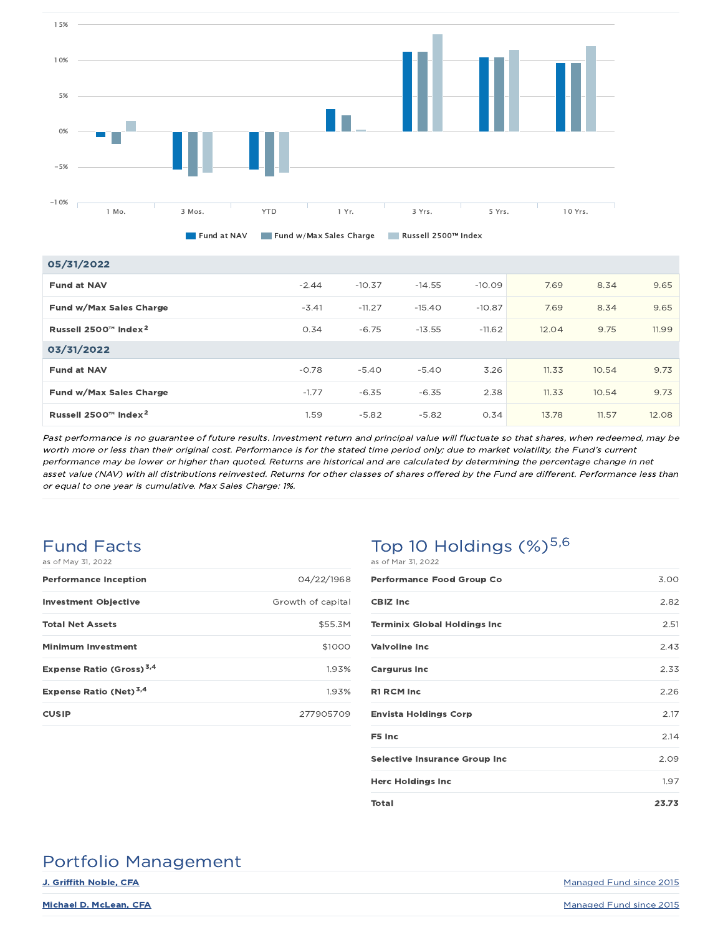

| 05/31/2022                       |         |          |          |          |       |       |       |
|----------------------------------|---------|----------|----------|----------|-------|-------|-------|
| <b>Fund at NAV</b>               | $-2.44$ | $-10.37$ | $-14.55$ | $-10.09$ | 7.69  | 8.34  | 9.65  |
| Fund w/Max Sales Charge          | $-3.41$ | $-11.27$ | $-15.40$ | $-10.87$ | 7.69  | 8.34  | 9.65  |
| Russell 2500™ Index <sup>2</sup> | 0.34    | $-6.75$  | $-13.55$ | $-11.62$ | 12.04 | 9.75  | 11.99 |
| 03/31/2022                       |         |          |          |          |       |       |       |
| <b>Fund at NAV</b>               | $-0.78$ | $-5.40$  | $-5.40$  | 3.26     | 11.33 | 10.54 | 9.73  |
|                                  |         |          |          |          |       |       |       |

Past performance is no guarantee of future results. Investment return and principal value will fluctuate so that shares, when redeemed, may be worth more or less than their original cost. Performance is for the stated time period only; due to market volatility, the Fund's current performance may be lower or higher than quoted. Returns are historical and are calculated by determining the percentage change in net asset value (NAV) with all distributions reinvested. Returns for other classes of shares offered by the Fund are different. Performance less than or equal to one year is cumulative. Max Sales Charge: 1%.

**Fund w/Max Sales Charge 2.38 component component component component component component component component component component component component component component component component component component component co** Russell 2500™ Index 1.59 -5.82 -5.82 0.34 13.78 11.57 12.08 2

#### Fund Facts as of May 31, 2022

| 04/22/1968        |
|-------------------|
| Growth of capital |
| \$55.3M           |
| \$1000            |
| 1.93%             |
| 1.93%             |
| 277905709         |
|                   |

### Top 10 Holdings  $(\%)^{5,6}$ as of Mar 31, 2022

| <b>Performance Food Group Co</b>     | 3.00  |
|--------------------------------------|-------|
| <b>CBIZ Inc</b>                      | 2.82  |
| <b>Terminix Global Holdings Inc</b>  | 2.51  |
| <b>Valvoline Inc</b>                 | 2.43  |
| <b>Cargurus Inc</b>                  | 2.33  |
| <b>R1 RCM Inc</b>                    | 2.26  |
| <b>Envista Holdings Corp</b>         | 2.17  |
| F5 Inc                               | 2.14  |
| <b>Selective Insurance Group Inc</b> | 2.09  |
| <b>Herc Holdings Inc</b>             | 1.97  |
| Total                                | 23.73 |

# Portfolio Management

**J. Griffith Noble, CFA** Managed Fund since 2015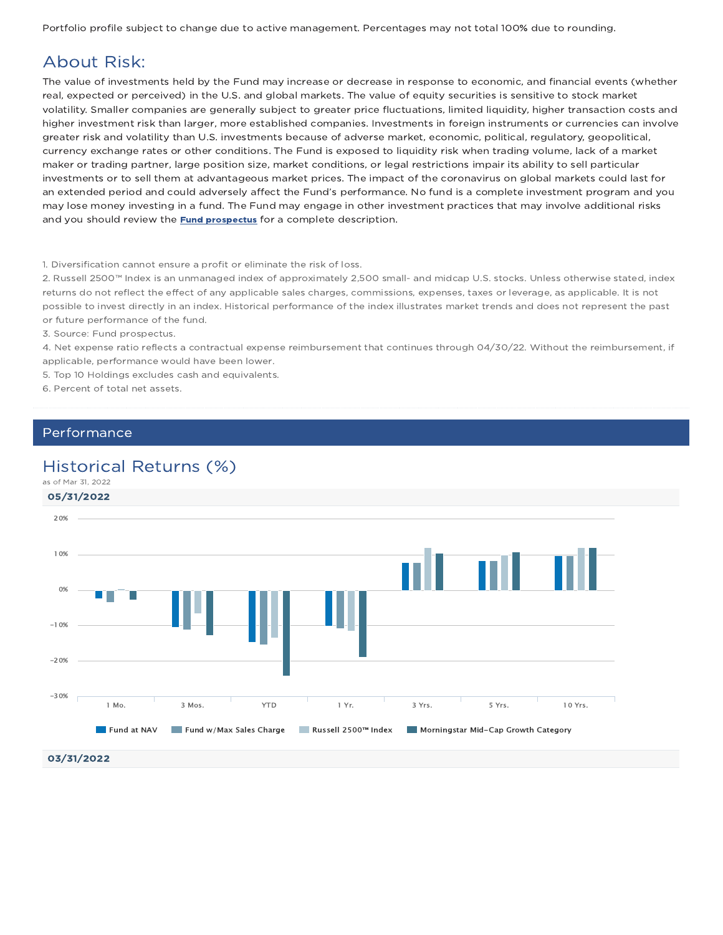Portfolio profile subject to change due to active management. Percentages may not total 100% due to rounding.

# About Risk:

The value of investments held by the Fund may increase or decrease in response to economic, and financial events (whether real, expected or perceived) in the U.S. and global markets. The value of equity securities is sensitive to stock market volatility. Smaller companies are generally subject to greater price fluctuations, limited liquidity, higher transaction costs and higher investment risk than larger, more established companies. Investments in foreign instruments or currencies can involve greater risk and volatility than U.S. investments because of adverse market, economic, political, regulatory, geopolitical, currency exchange rates or other conditions. The Fund is exposed to liquidity risk when trading volume, lack of a market maker or trading partner, large position size, market conditions, or legal restrictions impair its ability to sell particular investments or to sell them at advantageous market prices. The impact of the coronavirus on global markets could last for an extended period and could adversely affect the Fund's performance. No fund is a complete investment program and you may lose money investing in a fund. The Fund may engage in other investment practices that may involve additional risks and you should review the **Fund prospectus** for a complete description.

#### 1. Diversification cannot ensure a profit or eliminate the risk of loss.

2. Russell 2500™ Index is an unmanaged index of approximately 2,500 small- and midcap U.S. stocks. Unless otherwise stated, index returns do not reflect the effect of any applicable sales charges, commissions, expenses, taxes or leverage, as applicable. It is not possible to invest directly in an index. Historical performance of the index illustrates market trends and does not represent the past or future performance of the fund.

3. Source: Fund prospectus.

4. Net expense ratio reflects a contractual expense reimbursement that continues through 04/30/22. Without the reimbursement, if applicable, performance would have been lower.

5. Top 10 Holdings excludes cash and equivalents.

6. Percent of total net assets.

#### Performance

### Historical Returns (%)

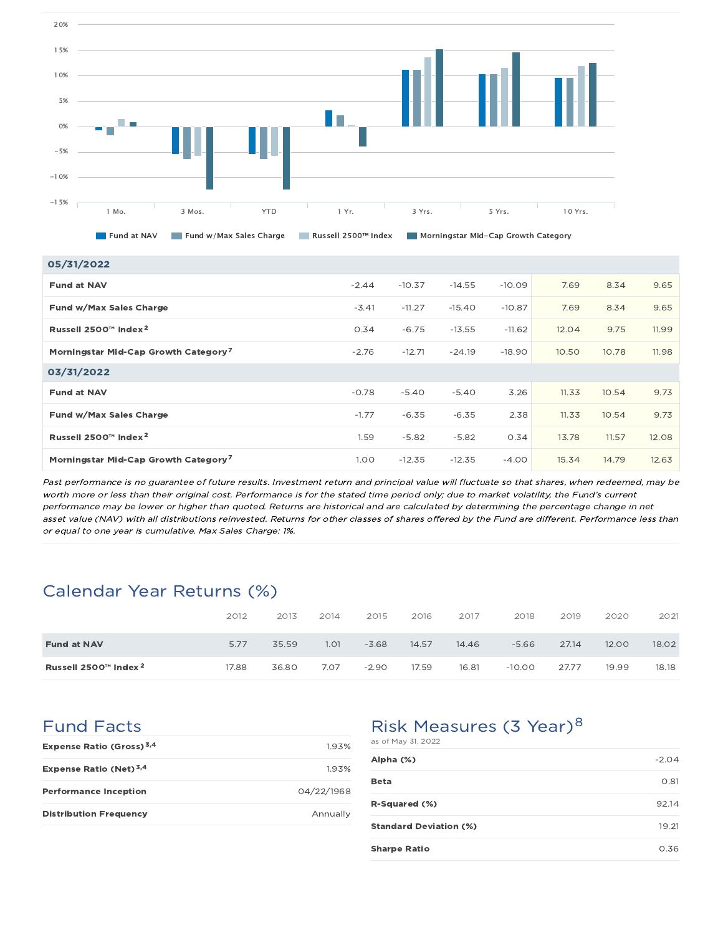

| 05/31/2022                                       |                   |          |          |          |       |       |       |
|--------------------------------------------------|-------------------|----------|----------|----------|-------|-------|-------|
| <b>Fund at NAV</b>                               | $-2.44$           | $-10.37$ | $-14.55$ | $-10.09$ | 7.69  | 8.34  | 9.65  |
| Fund w/Max Sales Charge                          | $-3.41$           | $-11.27$ | $-15.40$ | $-10.87$ | 7.69  | 8.34  | 9.65  |
| Russell 2500™ Index <sup>2</sup>                 | 0.34              | $-6.75$  | $-13.55$ | $-11.62$ | 12.04 | 9.75  | 11.99 |
| Morningstar Mid-Cap Growth Category <sup>7</sup> | $-2.76$           | $-12.71$ | $-24.19$ | $-18.90$ | 10.50 | 10.78 | 11.98 |
| 03/31/2022                                       |                   |          |          |          |       |       |       |
| <b>Fund at NAV</b>                               | $-0.78$           | $-5.40$  | $-5.40$  | 3.26     | 11.33 | 10.54 | 9.73  |
| Fund w/Max Sales Charge                          | $-1.77$           | $-6.35$  | $-6.35$  | 2.38     | 11.33 | 10.54 | 9.73  |
| Russell 2500™ Index <sup>2</sup>                 | 1.59              | $-5.82$  | $-5.82$  | 0.34     | 13.78 | 11.57 | 12.08 |
| Morningstar Mid-Cap Growth Category <sup>7</sup> | 1.00 <sub>1</sub> | $-12.35$ | $-12.35$ | $-4.00$  | 15.34 | 14.79 | 12.63 |

Past performance is no guarantee of future results. Investment return and principal value will fluctuate so that shares, when redeemed, may be worth more or less than their original cost. Performance is for the stated time period only; due to market volatility, the Fund's current performance may be lower or higher than quoted. Returns are historical and are calculated by determining the percentage change in net asset value (NAV) with all distributions reinvested. Returns for other classes of shares offered by the Fund are different. Performance less than or equal to one year is cumulative. Max Sales Charge: 1%.

# Calendar Year Returns (%)

|                                  | 2012  | 2013  | 2014 | 2015    | 2016  | 2017  | 2018     | 2019  | 2020  | 2021  |
|----------------------------------|-------|-------|------|---------|-------|-------|----------|-------|-------|-------|
| <b>Fund at NAV</b>               | 5.77  | 35.59 | 1.01 | $-3.68$ | 14.57 | 14.46 | $-5.66$  | 27.14 | 12.00 | 18.02 |
| Russell 2500™ Index <sup>2</sup> | 17.88 | 36.80 | 7.07 | $-2.90$ | 17.59 | 16.81 | $-10.00$ | 27.77 | 19.99 | 18.18 |

Fund Facts

| Expense Ratio (Gross) <sup>3,4</sup> | 1.93%      |
|--------------------------------------|------------|
| Expense Ratio (Net) $3,4$            | 1.93%      |
| <b>Performance Inception</b>         | 04/22/1968 |
| <b>Distribution Frequency</b>        | Annually   |

# Risk Measures (3 Year)<sup>8</sup>

| as of May 31, 2022            |         |
|-------------------------------|---------|
| Alpha (%)                     | $-2.04$ |
| Beta                          | 0.81    |
| <b>R-Squared (%)</b>          | 92.14   |
| <b>Standard Deviation (%)</b> | 19.21   |
| <b>Sharpe Ratio</b>           | 0.36    |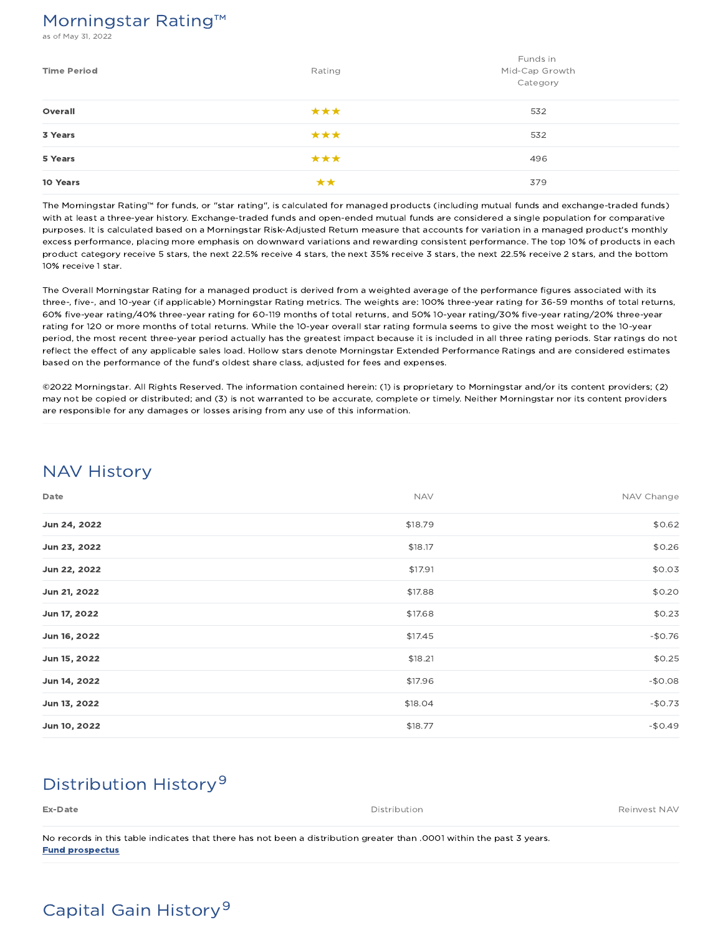## Morningstar Rating™

s of May 31, 2022

| <b>Time Period</b> | Rating | Funds in<br>Mid-Cap Growth<br>Category |
|--------------------|--------|----------------------------------------|
| Overall            | ***    | 532                                    |
| 3 Years            | ***    | 532                                    |
| 5 Years            | ***    | 496                                    |
| 10 Years           | **     | 379                                    |

The Morningstar Rating™ for funds, or "star rating", is calculated for managed products (including mutual funds and exchange-traded funds) with at least a three-year history. Exchange-traded funds and open-ended mutual funds are considered a single population for comparative purposes. It is calculated based on a Morningstar Risk-Adjusted Return measure that accounts for variation in a managed product's monthly excess performance, placing more emphasis on downward variations and rewarding consistent performance. The top 10% of products in each product category receive 5 stars, the next 22.5% receive 4 stars, the next 35% receive 3 stars, the next 22.5% receive 2 stars, and the bottom 10% receive 1 star.

The Overall Morningstar Rating for a managed product is derived from a weighted average of the performance figures associated with its three-, five-, and 10-year (if applicable) Morningstar Rating metrics. The weights are: 100% three-year rating for 36-59 months of total returns, 60% five-year rating/40% three-year rating for 60-119 months of total returns, and 50% 10-year rating/30% five-year rating/20% three-year rating for 120 or more months of total returns. While the 10-year overall star rating formula seems to give the most weight to the 10-year period, the most recent three-year period actually has the greatest impact because it is included in all three rating periods. Star ratings do not reflect the effect of any applicable sales load. Hollow stars denote Morningstar Extended Performance Ratings and are considered estimates based on the performance of the fund's oldest share class, adjusted for fees and expenses.

©2022 Morningstar. All Rights Reserved. The information contained herein: (1) is proprietary to Morningstar and/or its content providers; (2) may not be copied or distributed; and (3) is not warranted to be accurate, complete or timely. Neither Morningstar nor its content providers are responsible for any damages or losses arising from any use of this information.

# NAV History

| Date         | <b>NAV</b> | NAV Change |
|--------------|------------|------------|
| Jun 24, 2022 | \$18.79    | \$0.62     |
| Jun 23, 2022 | \$18.17    | \$0.26     |
| Jun 22, 2022 | \$17.91    | \$0.03     |
| Jun 21, 2022 | \$17.88    | \$0.20     |
| Jun 17, 2022 | \$17.68    | \$0.23     |
| Jun 16, 2022 | \$17.45    | $-$0.76$   |
| Jun 15, 2022 | \$18.21    | \$0.25     |
| Jun 14, 2022 | \$17.96    | $-$0.08$   |
| Jun 13, 2022 | \$18.04    | $-$0.73$   |
| Jun 10, 2022 | \$18.77    | $-$0.49$   |

# Distribution History 9

| Ex-Date                                                                                                               | Distribution | Reinvest NAV |
|-----------------------------------------------------------------------------------------------------------------------|--------------|--------------|
|                                                                                                                       |              |              |
| No records in this table indicates that there has not been a distribution greater than .0001 within the past 3 years. |              |              |

Fund prospectus

# Capital Gain History 9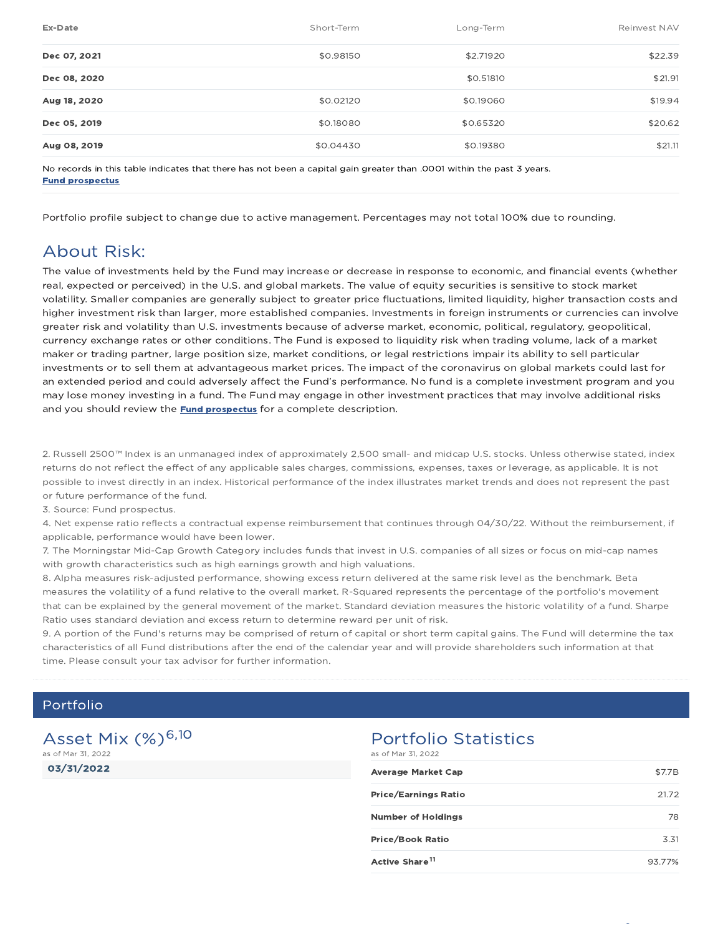| Ex-Date      | Short-Term | Long-Term | Reinvest NAV |
|--------------|------------|-----------|--------------|
| Dec 07, 2021 | \$0.98150  | \$2,71920 | \$22.39      |
| Dec 08, 2020 |            | \$0,51810 | \$21.91      |
| Aug 18, 2020 | \$0.02120  | \$0.19060 | \$19.94      |
| Dec 05, 2019 | \$0.18080  | \$0.65320 | \$20.62      |
| Aug 08, 2019 | \$0.04430  | \$0.19380 | \$21.11      |

No records in this table indicates that there has not been a capital gain greater than .0001 within the past 3 years. Fund prospectus

Portfolio profile subject to change due to active management. Percentages may not total 100% due to rounding.

## About Risk:

The value of investments held by the Fund may increase or decrease in response to economic, and financial events (whether real, expected or perceived) in the U.S. and global markets. The value of equity securities is sensitive to stock market volatility. Smaller companies are generally subject to greater price fluctuations, limited liquidity, higher transaction costs and higher investment risk than larger, more established companies. Investments in foreign instruments or currencies can involve greater risk and volatility than U.S. investments because of adverse market, economic, political, regulatory, geopolitical, currency exchange rates or other conditions. The Fund is exposed to liquidity risk when trading volume, lack of a market maker or trading partner, large position size, market conditions, or legal restrictions impair its ability to sell particular investments or to sell them at advantageous market prices. The impact of the coronavirus on global markets could last for an extended period and could adversely affect the Fund's performance. No fund is a complete investment program and you may lose money investing in a fund. The Fund may engage in other investment practices that may involve additional risks and you should review the **Fund prospectus** for a complete description.

2. Russell 2500™ Index is an unmanaged index of approximately 2,500 small- and midcap U.S. stocks. Unless otherwise stated, index returns do not reflect the effect of any applicable sales charges, commissions, expenses, taxes or leverage, as applicable. It is not possible to invest directly in an index. Historical performance of the index illustrates market trends and does not represent the past or future performance of the fund.

3. Source: Fund prospectus.

4. Net expense ratio reflects a contractual expense reimbursement that continues through 04/30/22. Without the reimbursement, if applicable, performance would have been lower.

7. The Morningstar Mid-Cap Growth Category includes funds that invest in U.S. companies of all sizes or focus on mid-cap names with growth characteristics such as high earnings growth and high valuations.

8. Alpha measures risk-adjusted performance, showing excess return delivered at the same risk level as the benchmark. Beta measures the volatility of a fund relative to the overall market. R-Squared represents the percentage of the portfolio's movement that can be explained by the general movement of the market. Standard deviation measures the historic volatility of a fund. Sharpe Ratio uses standard deviation and excess return to determine reward per unit of risk.

9. A portion of the Fund's returns may be comprised of return of capital or short term capital gains. The Fund will determine the tax characteristics of all Fund distributions after the end of the calendar year and will provide shareholders such information at that time. Please consult your tax advisor for further information.

### Portfolio

03/31/2022 Asset Mix (%)<sup>6,10</sup> as of Mar 31, 2022

# Portfolio Statistics

| as of Mar 31, 2022         |        |
|----------------------------|--------|
| <b>Average Market Cap</b>  | \$7.7B |
| Price/Earnings Ratio       | 21.72  |
| <b>Number of Holdings</b>  | 78     |
| <b>Price/Book Ratio</b>    | 3.31   |
| Active Share <sup>11</sup> | 93.77% |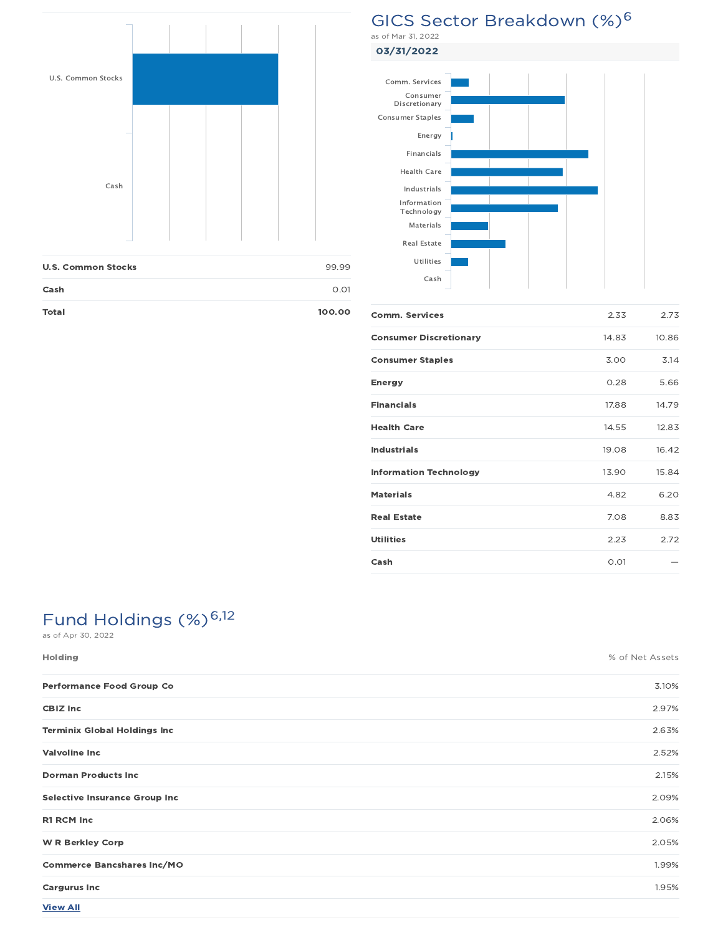

| <b>U.S. Common Stocks</b> | 99.99  |
|---------------------------|--------|
| Cash                      | O.O1   |
| Total                     | 100.00 |

# GICS Sector Breakdown (%)<sup>6</sup>

03/31/2022



| 2.33  | 2.73  |
|-------|-------|
| 14.83 | 10.86 |
| 3.00  | 3.14  |
| 0.28  | 5.66  |
| 17.88 | 14.79 |
| 14.55 | 12.83 |
| 19.08 | 16.42 |
| 13.90 | 15.84 |
| 4.82  | 6.20  |
| 7.08  | 8.83  |
| 2.23  | 2.72  |
| 0.01  |       |
|       |       |

# Fund Holdings (%)<sup>6,12</sup>

| <b>Holding</b>                       | % of Net Assets |
|--------------------------------------|-----------------|
| Performance Food Group Co            | 3.10%           |
| <b>CBIZ Inc</b>                      | 2.97%           |
| <b>Terminix Global Holdings Inc</b>  | 2.63%           |
| <b>Valvoline Inc</b>                 | 2.52%           |
| <b>Dorman Products Inc</b>           | 2.15%           |
| <b>Selective Insurance Group Inc</b> | 2.09%           |
| R1 RCM Inc                           | 2.06%           |
| <b>W R Berkley Corp</b>              | 2.05%           |
| <b>Commerce Bancshares Inc/MO</b>    | 1.99%           |
| <b>Cargurus Inc</b>                  | 1.95%           |
| <b>View All</b>                      |                 |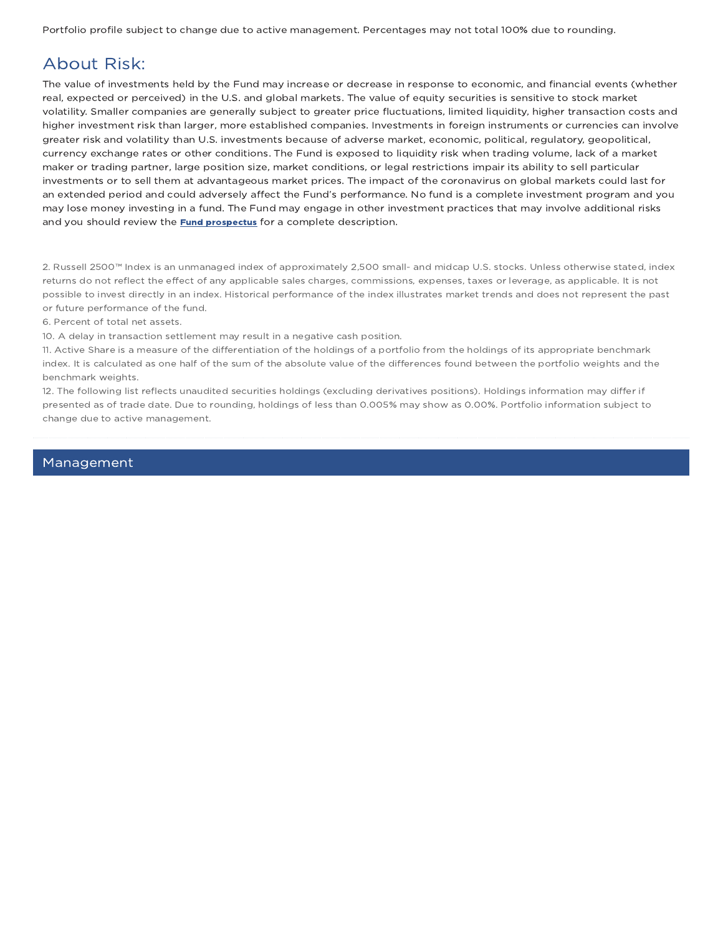Portfolio profile subject to change due to active management. Percentages may not total 100% due to rounding.

# About Risk:

The value of investments held by the Fund may increase or decrease in response to economic, and financial events (whether real, expected or perceived) in the U.S. and global markets. The value of equity securities is sensitive to stock market volatility. Smaller companies are generally subject to greater price fluctuations, limited liquidity, higher transaction costs and higher investment risk than larger, more established companies. Investments in foreign instruments or currencies can involve greater risk and volatility than U.S. investments because of adverse market, economic, political, regulatory, geopolitical, currency exchange rates or other conditions. The Fund is exposed to liquidity risk when trading volume, lack of a market maker or trading partner, large position size, market conditions, or legal restrictions impair its ability to sell particular investments or to sell them at advantageous market prices. The impact of the coronavirus on global markets could last for an extended period and could adversely affect the Fund's performance. No fund is a complete investment program and you may lose money investing in a fund. The Fund may engage in other investment practices that may involve additional risks and you should review the **Fund prospectus** for a complete description.

2. Russell 2500™ Index is an unmanaged index of approximately 2,500 small- and midcap U.S. stocks. Unless otherwise stated, index returns do not reflect the effect of any applicable sales charges, commissions, expenses, taxes or leverage, as applicable. It is not possible to invest directly in an index. Historical performance of the index illustrates market trends and does not represent the past or future performance of the fund.

6. Percent of total net assets.

10. A delay in transaction settlement may result in a negative cash position.

11. Active Share is a measure of the differentiation of the holdings of a portfolio from the holdings of its appropriate benchmark index. It is calculated as one half of the sum of the absolute value of the differences found between the portfolio weights and the benchmark weights.

12. The following list reflects unaudited securities holdings (excluding derivatives positions). Holdings information may differ if presented as of trade date. Due to rounding, holdings of less than 0.005% may show as 0.00%. Portfolio information subject to change due to active management.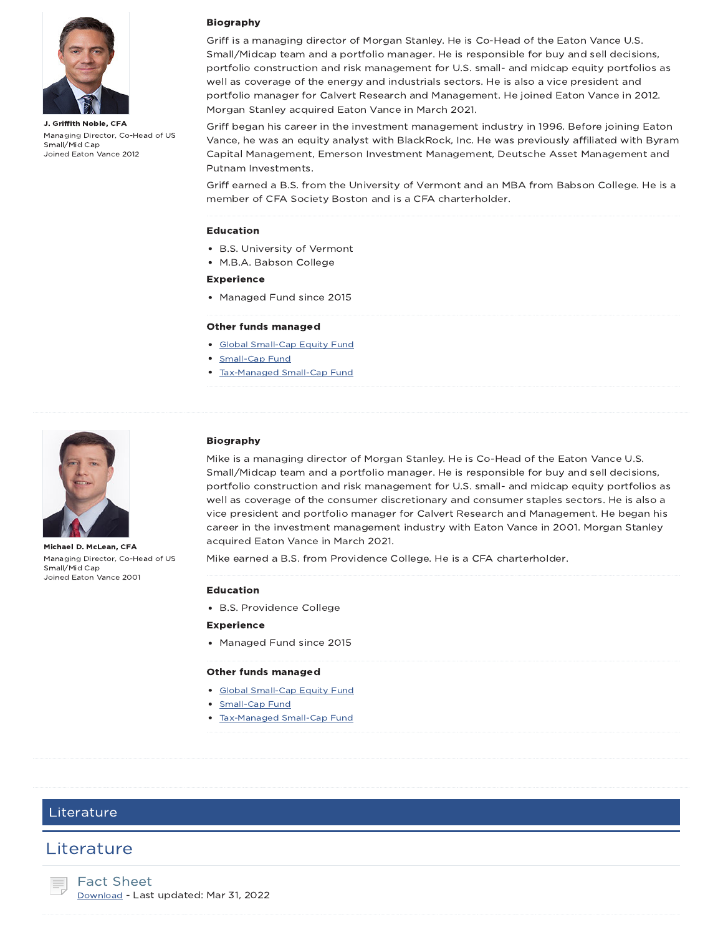

J. Griffith Noble, CFA Managing Director, Co-Head of US Small/Mid Cap Joined Eaton Vance 2012

#### Biography

Griff is a managing director of Morgan Stanley. He is Co-Head of the Eaton Vance U.S. Small/Midcap team and a portfolio manager. He is responsible for buy and sell decisions, portfolio construction and risk management for U.S. small- and midcap equity portfolios as well as coverage of the energy and industrials sectors. He is also a vice president and portfolio manager for Calvert Research and Management. He joined Eaton Vance in 2012. Morgan Stanley acquired Eaton Vance in March 2021.

Griff began his career in the investment management industry in 1996. Before joining Eaton Vance, he was an equity analyst with BlackRock, Inc. He was previously affiliated with Byram Capital Management, Emerson Investment Management, Deutsche Asset Management and Putnam Investments.

Griff earned a B.S. from the University of Vermont and an MBA from Babson College. He is a member of CFA Society Boston and is a CFA charterholder.

#### Education

- B.S. University of Vermont
- M.B.A. Babson College

#### Experience

• Managed Fund since 2015

#### Other funds managed

- Global Small-Cap Equity Fund
- Small-Cap Fund
- Tax-Managed Small-Cap Fund



Michael D. McLean, CFA Managing Director, Co-Head of US Small/Mid Cap Joined Eaton Vance 2001

#### Biography

Mike is a managing director of Morgan Stanley. He is Co-Head of the Eaton Vance U.S. Small/Midcap team and a portfolio manager. He is responsible for buy and sell decisions, portfolio construction and risk management for U.S. small- and midcap equity portfolios as well as coverage of the consumer discretionary and consumer staples sectors. He is also a vice president and portfolio manager for Calvert Research and Management. He began his career in the investment management industry with Eaton Vance in 2001. Morgan Stanley acquired Eaton Vance in March 2021.

Mike earned a B.S. from Providence College. He is a CFA charterholder.

#### Education

B.S. Providence College

#### Experience

Managed Fund since 2015

#### Other funds managed

- Global Small-Cap Equity Fund
- Small-Cap Fund
- Tax-Managed Small-Cap Fund

### Literature

### **Literature**

Fact Sheet Download - Last updated: Mar 31, 2022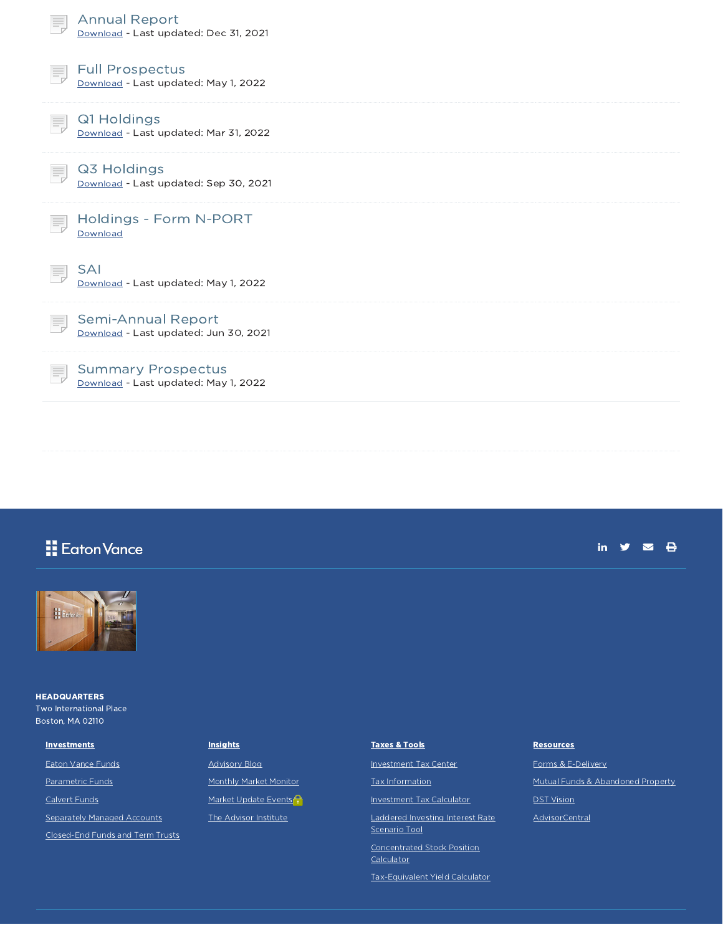| <b>Annual Report</b><br>Download - Last updated: Dec 31, 2021           |
|-------------------------------------------------------------------------|
| <b>Full Prospectus</b><br>Ħ,<br>Download - Last updated: May 1, 2022    |
| Q1 Holdings<br>Download - Last updated: Mar 31, 2022                    |
| Q3 Holdings<br>Download - Last updated: Sep 30, 2021                    |
| Holdings - Form N-PORT<br>Ħ,<br>Download                                |
| <b>SAI</b><br>Download - Last updated: May 1, 2022                      |
| Semi-Annual Report<br>Download - Last updated: Jun 30, 2021             |
| <b>Summary Prospectus</b><br>Ξ,<br>Download - Last updated: May 1, 2022 |

# **H** Eaton Vance





**HEADQUARTERS** Two International Place Boston, MA 02110

Eaton Vance Funds Parametric Funds Calvert Funds

**Investments** 

Separately Managed Accounts

Closed-End Funds and Term Trusts

### **Insights**

Advisory Blog Monthly Market Monitor Market Update Events<sup>2</sup> The Advisor Institute

## Taxes & Tools Investment Tax Center Tax Information Investment Tax Calculator

Laddered Investing Interest Rate Scenario Tool

Concentrated Stock Position **Calculator** 

Tax-Equivalent Yield Calculator

#### **Resources**

Forms & E-Delivery Mutual Funds & Abandoned Property DST Vision AdvisorCentral